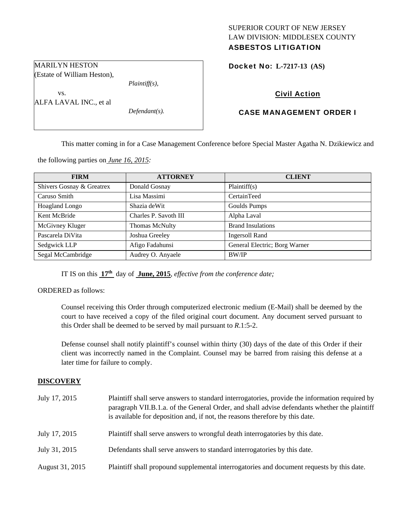## SUPERIOR COURT OF NEW JERSEY LAW DIVISION: MIDDLESEX COUNTY ASBESTOS LITIGATION

Docket No: **L-7217-13 (AS)** 

# Civil Action

# CASE MANAGEMENT ORDER I

This matter coming in for a Case Management Conference before Special Master Agatha N. Dzikiewicz and

the following parties on *June 16, 2015:* 

MARILYN HESTON (Estate of William Heston),

vs.

ALFA LAVAL INC., et al

| <b>FIRM</b>               | <b>ATTORNEY</b>       | <b>CLIENT</b>                 |
|---------------------------|-----------------------|-------------------------------|
| Shivers Gosnay & Greatrex | Donald Gosnay         | Plaintiff(s)                  |
| Caruso Smith              | Lisa Massimi          | CertainTeed                   |
| Hoagland Longo            | Shazia deWit          | Goulds Pumps                  |
| Kent McBride              | Charles P. Savoth III | Alpha Laval                   |
| McGivney Kluger           | <b>Thomas McNulty</b> | <b>Brand Insulations</b>      |
| Pascarela DiVita          | Joshua Greeley        | <b>Ingersoll Rand</b>         |
| Sedgwick LLP              | Afigo Fadahunsi       | General Electric; Borg Warner |
| Segal McCambridge         | Audrey O. Anyaele     | <b>BW/IP</b>                  |

IT IS on this **17th** day of **June, 2015**, *effective from the conference date;*

*Plaintiff(s),* 

*Defendant(s).* 

ORDERED as follows:

Counsel receiving this Order through computerized electronic medium (E-Mail) shall be deemed by the court to have received a copy of the filed original court document. Any document served pursuant to this Order shall be deemed to be served by mail pursuant to *R*.1:5-2.

Defense counsel shall notify plaintiff's counsel within thirty (30) days of the date of this Order if their client was incorrectly named in the Complaint. Counsel may be barred from raising this defense at a later time for failure to comply.

#### **DISCOVERY**

| July 17, 2015   | Plaintiff shall serve answers to standard interrogatories, provide the information required by<br>paragraph VII.B.1.a. of the General Order, and shall advise defendants whether the plaintiff<br>is available for deposition and, if not, the reasons therefore by this date. |
|-----------------|--------------------------------------------------------------------------------------------------------------------------------------------------------------------------------------------------------------------------------------------------------------------------------|
| July 17, 2015   | Plaintiff shall serve answers to wrongful death interrogatories by this date.                                                                                                                                                                                                  |
| July 31, 2015   | Defendants shall serve answers to standard interrogatories by this date.                                                                                                                                                                                                       |
| August 31, 2015 | Plaintiff shall propound supplemental interrogatories and document requests by this date.                                                                                                                                                                                      |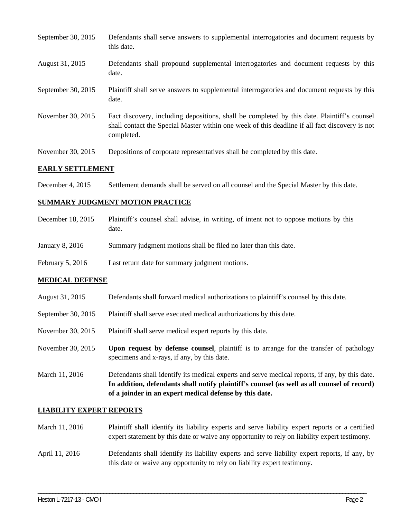| September 30, 2015 | Defendants shall serve answers to supplemental interrogatories and document requests by<br>this date.                                                                                                       |
|--------------------|-------------------------------------------------------------------------------------------------------------------------------------------------------------------------------------------------------------|
| August 31, 2015    | Defendants shall propound supplemental interrogatories and document requests by this<br>date.                                                                                                               |
| September 30, 2015 | Plaintiff shall serve answers to supplemental interrogatories and document requests by this<br>date.                                                                                                        |
| November 30, 2015  | Fact discovery, including depositions, shall be completed by this date. Plaintiff's counsel<br>shall contact the Special Master within one week of this deadline if all fact discovery is not<br>completed. |
| November 30, 2015  | Depositions of corporate representatives shall be completed by this date.                                                                                                                                   |

### **EARLY SETTLEMENT**

December 4, 2015 Settlement demands shall be served on all counsel and the Special Master by this date.

## **SUMMARY JUDGMENT MOTION PRACTICE**

| December 18, 2015  | Plaintiff's counsel shall advise, in writing, of intent not to oppose motions by this<br>date. |
|--------------------|------------------------------------------------------------------------------------------------|
| January 8, 2016    | Summary judgment motions shall be filed no later than this date.                               |
| February $5, 2016$ | Last return date for summary judgment motions.                                                 |

## **MEDICAL DEFENSE**

- August 31, 2015 Defendants shall forward medical authorizations to plaintiff's counsel by this date.
- September 30, 2015 Plaintiff shall serve executed medical authorizations by this date.
- November 30, 2015 Plaintiff shall serve medical expert reports by this date.
- November 30, 2015 **Upon request by defense counsel**, plaintiff is to arrange for the transfer of pathology specimens and x-rays, if any, by this date.
- March 11, 2016 Defendants shall identify its medical experts and serve medical reports, if any, by this date. **In addition, defendants shall notify plaintiff's counsel (as well as all counsel of record) of a joinder in an expert medical defense by this date.**

#### **LIABILITY EXPERT REPORTS**

- March 11, 2016 Plaintiff shall identify its liability experts and serve liability expert reports or a certified expert statement by this date or waive any opportunity to rely on liability expert testimony.
- April 11, 2016 Defendants shall identify its liability experts and serve liability expert reports, if any, by this date or waive any opportunity to rely on liability expert testimony.

\_\_\_\_\_\_\_\_\_\_\_\_\_\_\_\_\_\_\_\_\_\_\_\_\_\_\_\_\_\_\_\_\_\_\_\_\_\_\_\_\_\_\_\_\_\_\_\_\_\_\_\_\_\_\_\_\_\_\_\_\_\_\_\_\_\_\_\_\_\_\_\_\_\_\_\_\_\_\_\_\_\_\_\_\_\_\_\_\_\_\_\_\_\_\_\_\_\_\_\_\_\_\_\_\_\_\_\_\_\_